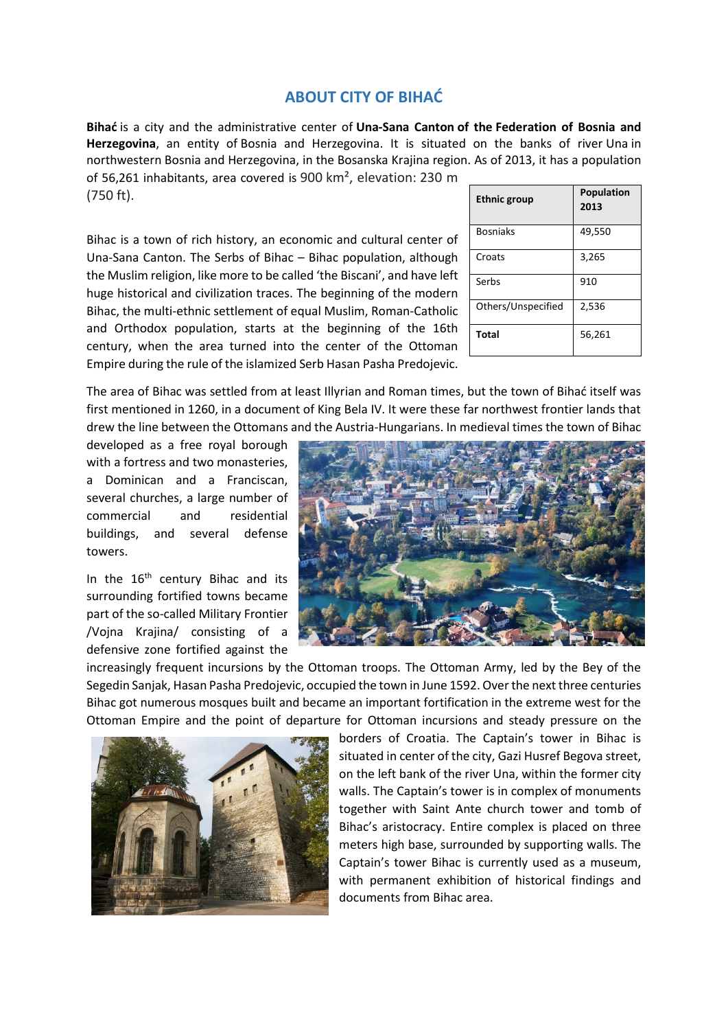## **ABOUT CITY OF BIHAĆ**

**Bihać** is a city and the administrative center of **[Una-Sana Canton](https://en.wikipedia.org/wiki/Una-Sana_Canton) of the [Federation of Bosnia and](https://en.wikipedia.org/wiki/Federation_of_Bosnia_and_Herzegovina)  [Herzegovina](https://en.wikipedia.org/wiki/Federation_of_Bosnia_and_Herzegovina)**, an entity of [Bosnia and Herzegovina.](https://en.wikipedia.org/wiki/Bosnia_and_Herzegovina) It is situated on the banks of river [Una](https://en.wikipedia.org/wiki/Una_(Sava)) in northwestern [Bosnia and Herzegovina,](https://en.wikipedia.org/wiki/Bosnia_and_Herzegovina) in the [Bosanska Krajina](https://en.wikipedia.org/wiki/Bosanska_Krajina) region. As of 2013, it has a population of 56,261 inhabitants, area covered is 900 km², elevation: 230 m

(750 ft).

Bihac is a town of rich history, an economic and cultural center of Una-Sana Canton. The Serbs of Bihac – Bihac population, although the Muslim religion, like more to be called 'the Biscani', and have left huge historical and civilization traces. The beginning of the modern Bihac, the multi-ethnic settlement of equal Muslim, Roman-Catholic and Orthodox population, starts at the beginning of the 16th century, when the area turned into the center of the Ottoman Empire during the rule of the islamized Serb Hasan Pasha Predojevic.

| <b>Ethnic group</b> | Population<br>2013 |
|---------------------|--------------------|
| <b>Bosniaks</b>     | 49,550             |
| Croats              | 3,265              |
| Serbs               | 910                |
| Others/Unspecified  | 2,536              |
| <b>Total</b>        | 56,261             |

The area of Bihac was settled from at least Illyrian and Roman times, but the town of Bihać itself was first mentioned in 1260, in a document of King Bela IV. It were these far northwest frontier lands that drew the line between the Ottomans and the Austria-Hungarians. In medieval times the town of Bihac

developed as a free royal borough with a fortress and two monasteries, a Dominican and a Franciscan, several churches, a large number of commercial and residential buildings, and several defense towers.

In the  $16<sup>th</sup>$  century Bihac and its surrounding fortified towns became part of the so-called Military Frontier /Vojna Krajina/ consisting of a defensive zone fortified against the



increasingly frequent incursions by the Ottoman troops. The Ottoman Army, led by the Bey of the Segedin Sanjak, Hasan Pasha Predojevic, occupied the town in June 1592. Over the next three centuries Bihac got numerous mosques built and became an important fortification in the extreme west for the Ottoman Empire and the point of departure for Ottoman incursions and steady pressure on the



borders of Croatia. The Captain's tower in Bihac is situated in center of the city, Gazi Husref Begova street, on the left bank of the river Una, within the former city walls. The Captain's tower is in complex of monuments together with Saint Ante church tower and tomb of Bihac's aristocracy. Entire complex is placed on three meters high base, surrounded by supporting walls. The Captain's tower Bihac is currently used as a museum, with permanent exhibition of historical findings and documents from Bihac area.